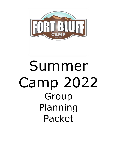

# Summer Camp 2022 Group Planning Packet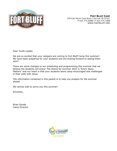

**FORT BLUFF CAMP** 370 FORT BLUFF CAMP ROAD | DAYTON TN 37321 P 423.775.0488 | F 423.775.1968 WWW.FORTBLUFF.ORG

Dear Youth Leader,

We are so excited that your campers are coming to Fort Bluff Camp this summer! We have been preparing for your students and are looking forward to seeing them soon!

There are some changes to our scheduling and programming this summer that we believe the students will enjoy! The theme for summer 2022 is "Every Story Matters" and our heart is that your students leave camp encouraged and challenged in their walk with Jesus.

The information contained in this packet is to help you prepare for the summer ahead!

We cannot wait to serve you this summer!

Sincerely,

Brian Goode Camp Director

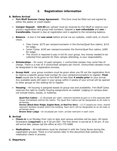# **I. Registration information**

#### **A. Before Arrival**

- **Fort Bluff Summer Camp Agreement** This form must be filled out and signed by either the pastor or youth leader.
- **Camper Deposit \$25.00** per camper must be received by Fort Bluff to reserve your group's registration and group hold numbers. Deposit is **non-refundable** and **non – transferable.** Deposit is due at registration and is applied to the remaining balance.
- **Balance** is due in full **one week** before arrival via our website, credit card, or church check.
	- ➢ Teen Camp: \$275 per camper/counselor in the Dorms/Quail Run cabins; \$315 for lodge.
	- ➢ Junior Camp: \$245 per camper/counselor the Dorms/Quail Run cabins; \$285 for lodge.
	- ➢ The church is required to pay in full for your group. Any money needed to be collected from parents for their camper attending, is your responsibility.
- **Scholarships**  for every 10 paid campers, 1 unchurched camper may come free of charge. There is a max of 4 unchurched campers per church. Unchurched campers must be designated in the registration process.
- **Group Hold** your group numbers must be given when you fill out the registration form to reserve a specific group hold number for your campers/counselors to register. **Final head** counts are to be given to Fort Bluff no less than **4 weeks prior** to your arrival. Any available spots still open in your group within 4 weeks of your arrival will be opened to other groups on the waiting list to register.
- **Housing**  All housing is assigned based on group size and availability. Fort Bluff Camp reserves the right to modify housing assignments as needed. Lodging on campus does not include linens, towels, or toiletries.

**Quail Run Cabins** – 12-28 people per cabin: restroom facilities at gym or in the separate bath house immediately behind the cabins. The Quail Run Cabins will be designated as all-male or all-female.

**Dorms (Black Bear Ridge, Eagles Nest, or Red Fox Den)** – 12-27 people per room: shared restroom facilities located within the building. Each dorm will be designated as an all-male or all-female dorm.

**Brown Deer Lodge** –16-18 people per room: private restroom in each room.

#### **B. Arrival**

- **Check-in** is on Monday from 1pm to 4pm and various activities will be open. All Camp Orientation **(required)** is at 4:30 pm EST. The first dinner is served at 5:30 pm. If you will arrive late, please call the office at 423-775-0488.
- **Medications**  All medications must be checked in with the Camp Nurse during the registration process. There is a full section later in this document that outlines the medication check in process.

### **C. Departure**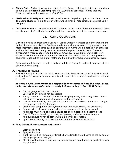- **Check Out** Friday morning from 10am-11am. Please make sure that rooms are clean to avoid an **Excessive Cleaning Fee** of \$50.00 being assessed. Rooms that are "pranked" will also be assessed a \$50.00 fee.
- **Medication Pick-Up –** All medications will need to be picked up from the Camp Nurse. The Camp Nurse will be in the rear of the Chapel until all medications are picked up by campers.
- **Lost and Found** Lost and Found will be taken to the Camp Office. All unclaimed items are disposed of after thirty days. Claimed items are returned at the camper's expense.

# **II. Camp Operations**

Our chief goal is to present the Gospel of Jesus Christ to campers and encourage them in their journey as a disciple. We have made some changes to our programming to add more intentional discipleship building opportunities. Camp will be packed with activities and fun, but we intentionally removed some of the previous activities to foster an environment more conducive to building community. In our digital world right now, students need human interaction more than ever. Fort Bluff Camp will be a place for students to get out of the digital realm and build true friendships with other believers.

Each leader will be supplied with a daily schedule at Check-In and kept informed of any changes during camp.

#### **A. Procedures/Rules**

Fort Bluff Camp is a Christian camp. The standards we maintain apply to every camper and leader. Any camper or leader who is not cooperative is subject to dismissal without a refund.

#### **It is the Youth Leader/Parent's responsibility to communicate the rules, dress code, and standards of conduct clearly before coming to Fort Bluff Camp.**

- Foul language will not be tolerated
- Bullying of any kind is not acceptable
- Young men should not be in the ladies sleeping areas, and young ladies should not be in the young men's sleeping areas for any reason
- Vandalism or defacing of property is prohibited and persons found committing it will be responsible for damages
- Using camp equipment for anything other than instructed is not acceptable
- Inappropriate physical contact with other campers will not be tolerated
- All groups must have at least 2 adults per 10 campers in all sleeping areas
- Fort Bluff Camp is a drug, alcohol, e-cigarette, and tobacco free campus
- An adult should never be alone with a minor for any reason
- Appropriate clothing for Christian environment must always be worn

#### **B. What should my camper not wear?**

- Sleeveless shirts
- Spaghetti straps
- Tight-Fitting, See-Through, or Short Shorts (Shorts should come to the bottom of the fingertips or mid-thigh)
- Clothing with offensive language or promoting persons, bands, or products which are offensive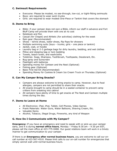## **C. Swimsuit Requirements**

- Everyone: Please be modest, no see-through, low-cut, or tight-fitting swimsuits
- Boys: are required to wear swim trunks
- Girls: are required to wear modest One-Piece or Tankini that covers the stomach

## **D. Items to Bring**

- Bible: if your camper does not own a Bible, inform our staff in advance and Fort Bluff Camp will provide them with one at no cost
- Notebook and Pen
- Casual (for Chapel) and Athletic (for activities) clothing for the week
- Rain gear (Recommended)
- Shoes tennis shoes, water shoes, flip flops for showers
- Multiple swimming suits (boys trunks; girls one piece or tankini)
- Jacket, coat, or hoodie
- Laundry bag or 2-3 garbage bags for dirty laundry, bedding, and wet clothes
- Pillow and sleeping bag or twin bedding
- Towels, beach towel, and washcloths
- Toiletries: Soap, Shampoo, Toothbrush, Toothpaste, Deodorant, Etc.
- Bug spray and Sunscreen
- Flashlight with batteries
- Spending money for Canteen and the Nest (Optional)
- Fishing gear (Optional)
- Basic First Aid Kit (Recommended)
- Spending Money for Cookies & Cream Ice Cream Truck on Thursday (Optional)

### **E. Can My Camper Bring Snacks?**

- Campers are always welcome to bring snacks to camp. However, due to food allergies, campers are not permitted to share their snacks.
- All snacks brought to camp should be in a sealed container to prevent camp critters from sneaking into cabins!
- All campers have plenty of time to get snacks at The Nest and Canteen multiple times during the day.

### **F. Items to Leave at Home**

- All Electronics: iPad, iPod, Tablet, Cell Phones, Video Games
- Prank Materials: Water Guns, Water Balloons, Shaving Cream, Etc.
- Valuable Items
- Alcohol, Tobacco, Illegal Drugs, Fireworks, any kind of Weapon

### **G. How Do I Communicate with My Camper?**

**Emergency:** If you have an emergency and need to speak with or pick-up your camper early, and it is during **normal office hours**, Monday – Friday 8:30 am – 4:30 pm EST, please call the main office at 423-775-0488. Our guest relations team will work in a timely manner to get communication to your camper.

If there is an **Emergency after normal business hours**, you are welcome to call our oncall number at 423-567-4510. Please limit calls to our on-call number for emergencies that simply cannot wait until normal business hours.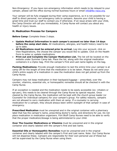Non-Emergency: If you have non-emergency information which needs to be relayed to your camper, please call the office during normal business hours or email [info@fbc-naca.org.](mailto:info@fbc-naca.org)

Your camper will be fully engaged during their camp experience, so it is not possible for our staff to direct personal, non-emergency calls to campers. Assume your child is having a great time and trust our staff to contact you if otherwise. If an issue arises with your child, the Camp Director will call you immediately. A Camp Nurse will contact you about any health or injury issues.

#### **H. Medication Process for Campers**

**Before Camp:** Complete these 3 steps.

- **Update Medical Information in each camper's account no later than 14 days before the camp start date.** All medications, allergies, and health history need to be up to date.
- **All Medications must be entered prior to arrival.** Log into your account, click on View Registrations, the choose the camper you would like to update. Click on the Health Form to enter or update medications.
- **Print out and Complete the Camper Medication List.** The list will be located on the website under Summer Camp tab. Place the list, along with the original medication containers in a Ziploc bag. Print the camper's First and Last name legibly on the bag.

**Packing Medications:** Provide enough medication to last the entire time your camper is at camp OR for the length of time that the medication is to be taken. Please do not send your child's entire supply of a medication in case the medication does not get picked up from the Camp Nurse.

Campers may not keep medication in their backpack/luggage – prescribed, over the counter, vitamins, essential oils, or homeopathic remedies should all be checked in with the Camp Nurse.

If an exception is needed and the medication needs to be easily accessible (ex: inhalers or epi-pen), this needs to be cleared through the Camp Nurse by special request. Once cleared by the Camp Nurse, the medication will be kept with the church group leader (or Counselor for Individual campers) for your camper's group. For safety reasons, campers are not allowed to carry medication with them at camp. If a counselor is carrying medication for a camper, they should always been within eyesight of that camper in case of emergency.

**Prescribed Medication** must be unexpired and in the original container with a pharmacy label that has the camper's name, prescribing doctor's name, and directions for use. Do not place medication in medication organizers. Fort Bluff Camp Nurses need to be able to verify that the proper medication/dosage is being administered to your child.

**Over The Counter Medications or Vitamins** must be unexpired and in the original container and clearly labeled with the camper's first and last name.

**Essential Oils or Homeopathic Remedies** must be unexpired and in the original container and clearly labeled with the camper's First and Last name. Note: Our Camp Nurse will not dispense these. Campers are responsible for their own personal use of these but will be supervised by the Camp Nurse when using them.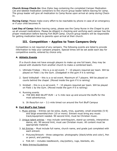**Church Group Check-In:** Give Ziploc bag containing the completed Camper Medication List and labeled medication containers to the church group leader before leaving for camp. The group leader will give all medication to Camp Nurse upon arrival at camp during Check-In.

**During Camp:** Please make every effort to be reachable by phone in case of an emergency or if your child becomes ill.

**Last Day of Camp:** Before leaving camp, please see the Camp Nurse in the Chapel to pick up all unused medications. Please be diligent in checking and verifying each camper has the proper medication before leaving Fort Bluff Camp. Church group leaders will be responsible for getting medication back to parents upon arrival at their church.

# **III. Competition – Applies to Teen Campers Only**

Competition is not required of any campers. The following events are listed to provide information to help your campers prepare. Special times will be set aside each day for competitive events, entered by choice only.

#### **A. Athletic Events**

If a church does not have enough players to make up one full team, they may be placed with students from another church to make a combined team.

- 1. Ultimate Frisbee this is a co-ed event. 7 10 players required per team. Will be played on Field 1 by the Gym. (Dodgeball in the gym if it is raining)
- 2. Sand Volleyball this is a co-ed event. Maximum of 7 players. Will be played on courts behind the chapel. (Moved inside the gym if it is raining)
- 3. Kickball this is a co-ed event. 7 10 players required per team. Will be played on Field 1 by the Gym. (Moved inside the gym if it is raining)
- 4. Running events
	- a. *THE BIG BAD BLUFF RUN* a ½ mile race up and around the bluffs for the most adventurous.
	- b. *5k Race/fun run*  3.1-mile timed run around the Fort Bluff Campus

#### **B. Fort Bluff's Got Talent**

- 1. Music entries Entries can be solos, duets, trios, quartets; small ensemble (5-9) and large ensemble/choir (10 or more). Entrant must bring any music track/equipment needed. 90 second limit, must be Christian music.
- 2. Unique talent entries may include ventriloquism, stand-up comedy, interpretive dance, etc. 90 second limit, must use Christian music. All content must be appropriate material.
- 3. Art Entries Must include full name, church name, and grade just completed with each entrant.
	- Pictures/Artwork three categories: photography (black/white and color), Pen or pencil, and painting.
	- Folk Art includes needlework, clay/pottery, rugs, blankets, etc.
- 4. Bible Entries/Guidelines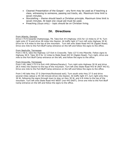- Clearest Presentation of the Gospel any form may be used as if teaching a class, witnessing to someone, passing out tracts, etc. Maximum time limit is seven minutes.
- Storytelling theme should teach a Christian principle. Maximum time limit is seven minutes. At least one visual aid must be used.
- Preaching (Guys only) topic should be on Christian living.

## **IV. Directions**

#### From Atlanta, Georgia

Drive I-75 N towards Chattanooga, TN. Take Exit #4 (Highway 153) for 12 miles to 27 N. Turn right onto 27 N and drive 28 miles into Dayton. At traffic light #7 turn left onto Highway 30 W. Drive for 4.8 miles to the top of the mountain. Turn left onto State Road 443 W (Ogden Road). Drive one mile to the Fort Bluff Camp entrance on the left and follow the signs to the office.

#### From Nashville, Tennessee

From I-40 E, take the Highway 127 Exit in Crossville. Take 127 S into Pikeville. Follow signs to Highway 30 E. Take 30 E for 12 miles to State Road 443 W (Ogden Road). Turn right, drive one mile to the Fort Bluff Camp entrance on the left, and follow the signs to the office.

#### From Knoxville, Tennessee

From I-40, take I-75 S to Exit #49 (Athens/Decatur). Turn right onto Highway 30 W and drive 28.5 miles into Dayton to the top of the mountain. Turn left onto State Road 443 W (NOT 443 E). Drive one mile to the Fort Bluff Camp entrance on the left and follow the signs to the office.

From I-40 take Hwy 27 S (Harriman/Rockwood exit). Turn south onto Hwy 27 S and drive several miles (about a 45–60-minute drive) into Dayton. At traffic light #7, turn right onto Hwy 30 W, following the signs through town to stay on Hwy 30 W, and 4.8 miles to the top of the mountain. Turn left onto State Road 443 WEST (not 443 EAST). Drive one mile to the Fort Bluff Camp entrance on the left and follow the signs to the office.